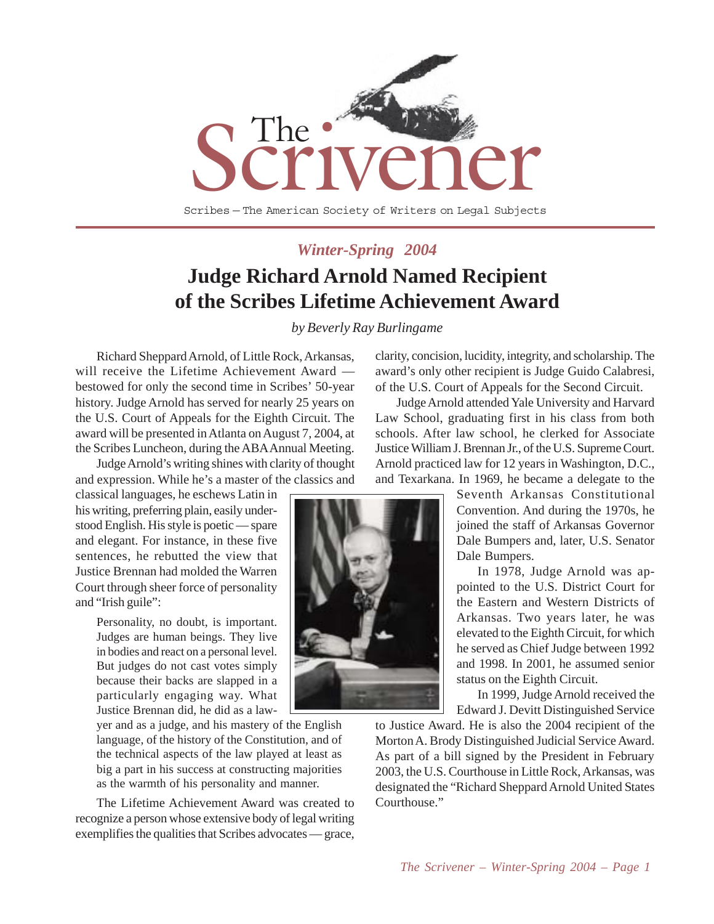

### *Winter-Spring 2004*

# **Judge Richard Arnold Named Recipient of the Scribes Lifetime Achievement Award**

*by Beverly Ray Burlingame*

Richard Sheppard Arnold, of Little Rock, Arkansas, will receive the Lifetime Achievement Award bestowed for only the second time in Scribes' 50-year history. Judge Arnold has served for nearly 25 years on the U.S. Court of Appeals for the Eighth Circuit. The award will be presented in Atlanta on August 7, 2004, at the Scribes Luncheon, during the ABA Annual Meeting.

Judge Arnold's writing shines with clarity of thought and expression. While he's a master of the classics and

classical languages, he eschews Latin in his writing, preferring plain, easily understood English. His style is poetic — spare and elegant. For instance, in these five sentences, he rebutted the view that Justice Brennan had molded the Warren Court through sheer force of personality and "Irish guile":

Personality, no doubt, is important. Judges are human beings. They live in bodies and react on a personal level. But judges do not cast votes simply because their backs are slapped in a particularly engaging way. What Justice Brennan did, he did as a law-

yer and as a judge, and his mastery of the English language, of the history of the Constitution, and of the technical aspects of the law played at least as big a part in his success at constructing majorities as the warmth of his personality and manner.

The Lifetime Achievement Award was created to recognize a person whose extensive body of legal writing exemplifies the qualities that Scribes advocates — grace, clarity, concision, lucidity, integrity, and scholarship. The award's only other recipient is Judge Guido Calabresi, of the U.S. Court of Appeals for the Second Circuit.

Judge Arnold attended Yale University and Harvard Law School, graduating first in his class from both schools. After law school, he clerked for Associate Justice William J. Brennan Jr., of the U.S. Supreme Court. Arnold practiced law for 12 years in Washington, D.C., and Texarkana. In 1969, he became a delegate to the

> Seventh Arkansas Constitutional Convention. And during the 1970s, he joined the staff of Arkansas Governor Dale Bumpers and, later, U.S. Senator Dale Bumpers.

> In 1978, Judge Arnold was appointed to the U.S. District Court for the Eastern and Western Districts of Arkansas. Two years later, he was elevated to the Eighth Circuit, for which he served as Chief Judge between 1992 and 1998. In 2001, he assumed senior status on the Eighth Circuit.

> In 1999, Judge Arnold received the Edward J. Devitt Distinguished Service

to Justice Award. He is also the 2004 recipient of the Morton A. Brody Distinguished Judicial Service Award. As part of a bill signed by the President in February 2003, the U.S. Courthouse in Little Rock, Arkansas, was designated the "Richard Sheppard Arnold United States Courthouse."

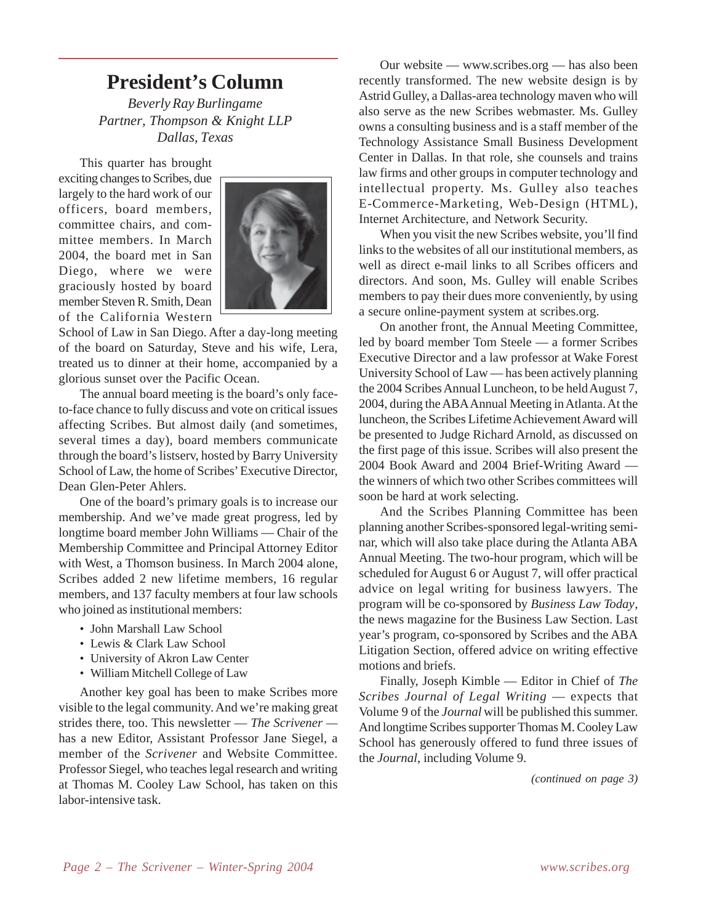# **President's Column**

*Beverly Ray Burlingame Partner, Thompson & Knight LLP Dallas, Texas*

This quarter has brought exciting changes to Scribes, due largely to the hard work of our officers, board members, committee chairs, and committee members. In March 2004, the board met in San Diego, where we were graciously hosted by board member Steven R. Smith, Dean of the California Western



School of Law in San Diego. After a day-long meeting of the board on Saturday, Steve and his wife, Lera, treated us to dinner at their home, accompanied by a glorious sunset over the Pacific Ocean.

The annual board meeting is the board's only faceto-face chance to fully discuss and vote on critical issues affecting Scribes. But almost daily (and sometimes, several times a day), board members communicate through the board's listserv, hosted by Barry University School of Law, the home of Scribes' Executive Director, Dean Glen-Peter Ahlers.

One of the board's primary goals is to increase our membership. And we've made great progress, led by longtime board member John Williams — Chair of the Membership Committee and Principal Attorney Editor with West, a Thomson business. In March 2004 alone, Scribes added 2 new lifetime members, 16 regular members, and 137 faculty members at four law schools who joined as institutional members:

- John Marshall Law School
- Lewis & Clark Law School
- University of Akron Law Center
- William Mitchell College of Law

Another key goal has been to make Scribes more visible to the legal community. And we're making great strides there, too. This newsletter — *The Scrivener*  has a new Editor, Assistant Professor Jane Siegel, a member of the *Scrivener* and Website Committee. Professor Siegel, who teaches legal research and writing at Thomas M. Cooley Law School, has taken on this labor-intensive task.

Our website — www.scribes.org — has also been recently transformed. The new website design is by Astrid Gulley, a Dallas-area technology maven who will also serve as the new Scribes webmaster. Ms. Gulley owns a consulting business and is a staff member of the Technology Assistance Small Business Development Center in Dallas. In that role, she counsels and trains law firms and other groups in computer technology and intellectual property. Ms. Gulley also teaches E-Commerce-Marketing, Web-Design (HTML), Internet Architecture, and Network Security.

When you visit the new Scribes website, you'll find links to the websites of all our institutional members, as well as direct e-mail links to all Scribes officers and directors. And soon, Ms. Gulley will enable Scribes members to pay their dues more conveniently, by using a secure online-payment system at scribes.org.

On another front, the Annual Meeting Committee, led by board member Tom Steele — a former Scribes Executive Director and a law professor at Wake Forest University School of Law — has been actively planning the 2004 Scribes Annual Luncheon, to be held August 7, 2004, during the ABA Annual Meeting in Atlanta. At the luncheon, the Scribes Lifetime Achievement Award will be presented to Judge Richard Arnold, as discussed on the first page of this issue. Scribes will also present the 2004 Book Award and 2004 Brief-Writing Award the winners of which two other Scribes committees will soon be hard at work selecting.

And the Scribes Planning Committee has been planning another Scribes-sponsored legal-writing seminar, which will also take place during the Atlanta ABA Annual Meeting. The two-hour program, which will be scheduled for August 6 or August 7, will offer practical advice on legal writing for business lawyers. The program will be co-sponsored by *Business Law Today*, the news magazine for the Business Law Section. Last year's program, co-sponsored by Scribes and the ABA Litigation Section, offered advice on writing effective motions and briefs.

Finally, Joseph Kimble — Editor in Chief of *The Scribes Journal of Legal Writing* — expects that Volume 9 of the *Journal* will be published this summer. And longtime Scribes supporter Thomas M. Cooley Law School has generously offered to fund three issues of the *Journal*, including Volume 9.

*(continued on page 3)*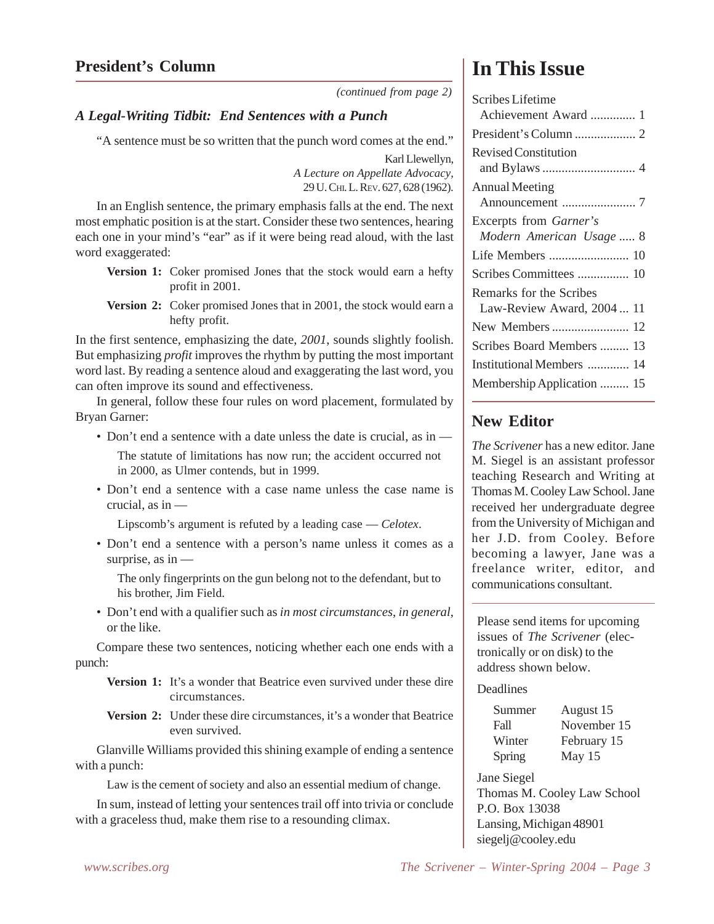*(continued from page 2)*

#### *A Legal-Writing Tidbit: End Sentences with a Punch*

"A sentence must be so written that the punch word comes at the end."

Karl Llewellyn, *A Lecture on Appellate Advocacy*, 29 U. CHI. L. REV. 627, 628 (1962).

In an English sentence, the primary emphasis falls at the end. The next most emphatic position is at the start. Consider these two sentences, hearing each one in your mind's "ear" as if it were being read aloud, with the last word exaggerated:

- **Version 1:** Coker promised Jones that the stock would earn a hefty profit in 2001.
- **Version 2:** Coker promised Jones that in 2001, the stock would earn a hefty profit.

In the first sentence, emphasizing the date, *2001*, sounds slightly foolish. But emphasizing *profit* improves the rhythm by putting the most important word last. By reading a sentence aloud and exaggerating the last word, you can often improve its sound and effectiveness.

In general, follow these four rules on word placement, formulated by Bryan Garner:

• Don't end a sentence with a date unless the date is crucial, as in —

The statute of limitations has now run; the accident occurred not in 2000, as Ulmer contends, but in 1999.

• Don't end a sentence with a case name unless the case name is crucial, as in —

Lipscomb's argument is refuted by a leading case — *Celotex*.

• Don't end a sentence with a person's name unless it comes as a surprise, as in  $-$ 

The only fingerprints on the gun belong not to the defendant, but to his brother, Jim Field.

• Don't end with a qualifier such as *in most circumstances*, *in general*, or the like.

Compare these two sentences, noticing whether each one ends with a punch:

- **Version 1:** It's a wonder that Beatrice even survived under these dire circumstances.
- **Version 2:** Under these dire circumstances, it's a wonder that Beatrice even survived.

Glanville Williams provided this shining example of ending a sentence with a punch:

Law is the cement of society and also an essential medium of change.

In sum, instead of letting your sentences trail off into trivia or conclude with a graceless thud, make them rise to a resounding climax.

# **In This Issue**

| Scribes Lifetime           |
|----------------------------|
| Achievement Award  1       |
|                            |
| Revised Constitution       |
|                            |
| <b>Annual Meeting</b>      |
|                            |
| Excerpts from Garner's     |
| Modern American Usage  8   |
|                            |
|                            |
| Remarks for the Scribes    |
| Law-Review Award, 2004 11  |
|                            |
| Scribes Board Members  13  |
| Institutional Members  14  |
| Membership Application  15 |

### **New Editor**

*The Scrivener* has a new editor. Jane M. Siegel is an assistant professor teaching Research and Writing at Thomas M. Cooley Law School. Jane received her undergraduate degree from the University of Michigan and her J.D. from Cooley. Before becoming a lawyer, Jane was a freelance writer, editor, and communications consultant.

Please send items for upcoming issues of *The Scrivener* (electronically or on disk) to the address shown below.

Deadlines

| Summer | August 15   |
|--------|-------------|
| Fall   | November 15 |
| Winter | February 15 |
| Spring | May 15      |

Jane Siegel Thomas M. Cooley Law School P.O. Box 13038 Lansing, Michigan 48901 siegelj@cooley.edu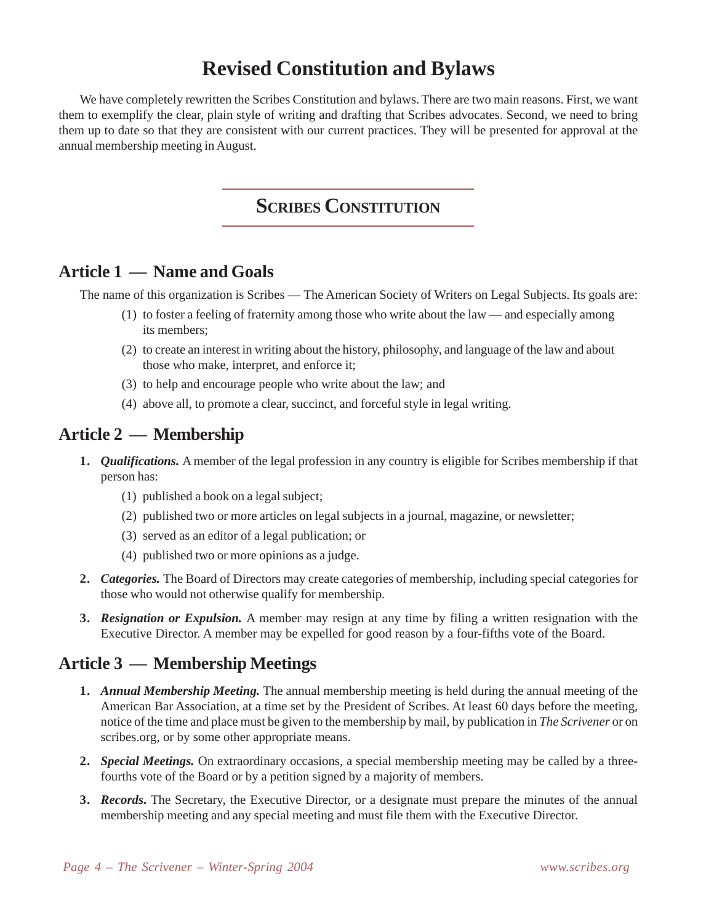# **Revised Constitution and Bylaws**

We have completely rewritten the Scribes Constitution and bylaws. There are two main reasons. First, we want them to exemplify the clear, plain style of writing and drafting that Scribes advocates. Second, we need to bring them up to date so that they are consistent with our current practices. They will be presented for approval at the annual membership meeting in August.

# **SCRIBES CONSTITUTION**

### **Article 1 — Name and Goals**

The name of this organization is Scribes — The American Society of Writers on Legal Subjects. Its goals are:

- (1) to foster a feeling of fraternity among those who write about the law and especially among its members;
- (2) to create an interest in writing about the history, philosophy, and language of the law and about those who make, interpret, and enforce it;
- (3) to help and encourage people who write about the law; and
- (4) above all, to promote a clear, succinct, and forceful style in legal writing.

### **Article 2 — Membership**

- **1.** *Qualifications.* A member of the legal profession in any country is eligible for Scribes membership if that person has:
	- (1) published a book on a legal subject;
	- (2) published two or more articles on legal subjects in a journal, magazine, or newsletter;
	- (3) served as an editor of a legal publication; or
	- (4) published two or more opinions as a judge.
- **2.** *Categories.* The Board of Directors may create categories of membership, including special categories for those who would not otherwise qualify for membership.
- **3.** *Resignation or Expulsion.* A member may resign at any time by filing a written resignation with the Executive Director. A member may be expelled for good reason by a four-fifths vote of the Board.

### **Article 3 — Membership Meetings**

- **1.** *Annual Membership Meeting.* The annual membership meeting is held during the annual meeting of the American Bar Association, at a time set by the President of Scribes. At least 60 days before the meeting, notice of the time and place must be given to the membership by mail, by publication in *The Scrivener* or on scribes.org, or by some other appropriate means.
- **2.** *Special Meetings.* On extraordinary occasions, a special membership meeting may be called by a threefourths vote of the Board or by a petition signed by a majority of members.
- **3.** *Records***.** The Secretary, the Executive Director, or a designate must prepare the minutes of the annual membership meeting and any special meeting and must file them with the Executive Director.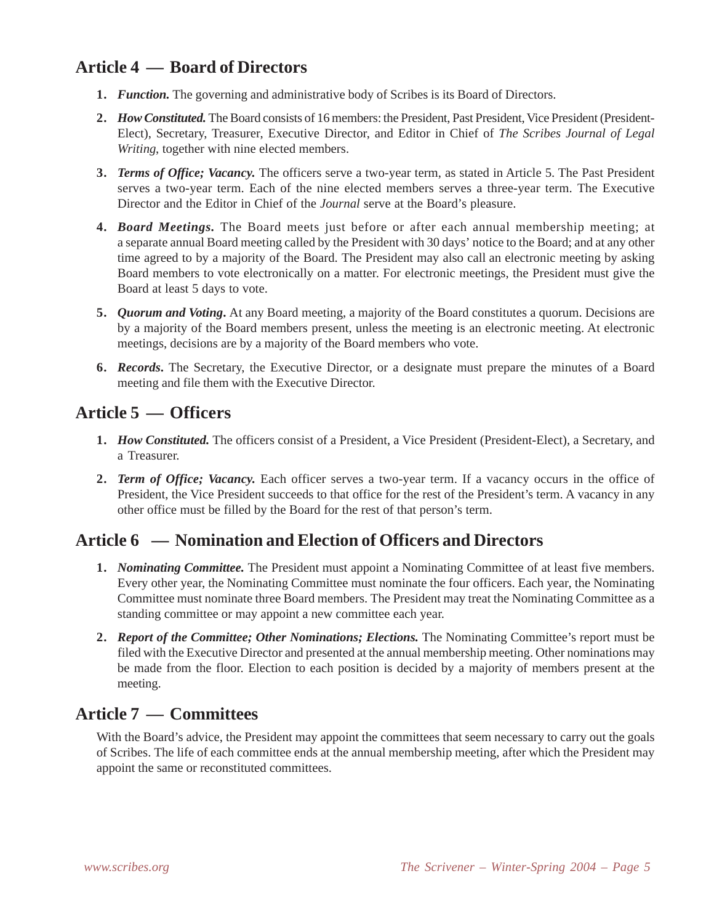# **Article 4 — Board of Directors**

- **1.** *Function.* The governing and administrative body of Scribes is its Board of Directors.
- **2.** *How Constituted.* The Board consists of 16 members: the President, Past President, Vice President (President-Elect), Secretary, Treasurer, Executive Director, and Editor in Chief of *The Scribes Journal of Legal Writing*, together with nine elected members.
- **3.** *Terms of Office; Vacancy.* The officers serve a two-year term, as stated in Article 5. The Past President serves a two-year term. Each of the nine elected members serves a three-year term. The Executive Director and the Editor in Chief of the *Journal* serve at the Board's pleasure.
- **4.** *Board Meetings.* The Board meets just before or after each annual membership meeting; at a separate annual Board meeting called by the President with 30 days' notice to the Board; and at any other time agreed to by a majority of the Board. The President may also call an electronic meeting by asking Board members to vote electronically on a matter. For electronic meetings, the President must give the Board at least 5 days to vote.
- **5.** *Quorum and Voting***.** At any Board meeting, a majority of the Board constitutes a quorum. Decisions are by a majority of the Board members present, unless the meeting is an electronic meeting. At electronic meetings, decisions are by a majority of the Board members who vote.
- **6.** *Records***.** The Secretary, the Executive Director, or a designate must prepare the minutes of a Board meeting and file them with the Executive Director.

# **Article 5 — Officers**

- **1.** *How Constituted.* The officers consist of a President, a Vice President (President-Elect), a Secretary, and a Treasurer.
- **2.** *Term of Office; Vacancy.* Each officer serves a two-year term. If a vacancy occurs in the office of President, the Vice President succeeds to that office for the rest of the President's term. A vacancy in any other office must be filled by the Board for the rest of that person's term.

# **Article 6 — Nomination and Election of Officers and Directors**

- **1.** *Nominating Committee.* The President must appoint a Nominating Committee of at least five members. Every other year, the Nominating Committee must nominate the four officers. Each year, the Nominating Committee must nominate three Board members. The President may treat the Nominating Committee as a standing committee or may appoint a new committee each year.
- **2.** *Report of the Committee; Other Nominations; Elections.* The Nominating Committee's report must be filed with the Executive Director and presented at the annual membership meeting. Other nominations may be made from the floor. Election to each position is decided by a majority of members present at the meeting.

# **Article 7 — Committees**

With the Board's advice, the President may appoint the committees that seem necessary to carry out the goals of Scribes. The life of each committee ends at the annual membership meeting, after which the President may appoint the same or reconstituted committees.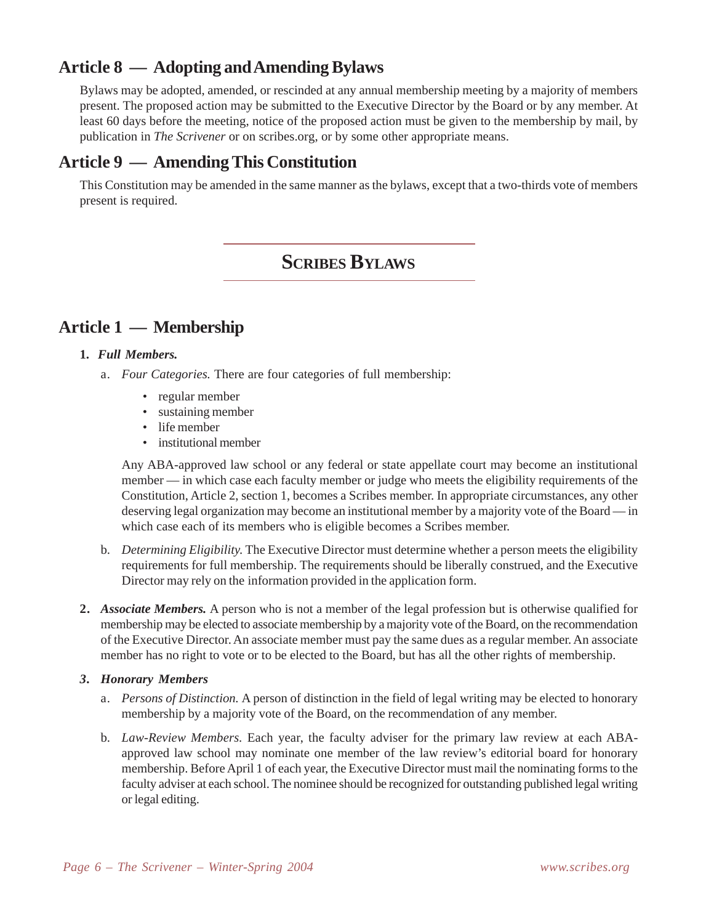## **Article 8 — Adopting and Amending Bylaws**

Bylaws may be adopted, amended, or rescinded at any annual membership meeting by a majority of members present. The proposed action may be submitted to the Executive Director by the Board or by any member. At least 60 days before the meeting, notice of the proposed action must be given to the membership by mail, by publication in *The Scrivener* or on scribes.org, or by some other appropriate means.

### **Article 9 — Amending This Constitution**

This Constitution may be amended in the same manner as the bylaws, except that a two-thirds vote of members present is required.

# **SCRIBES BYLAWS**

### **Article 1 — Membership**

#### **1.** *Full Members.*

- a. *Four Categories.* There are four categories of full membership:
	- regular member
	- sustaining member
	- life member
	- institutional member

Any ABA-approved law school or any federal or state appellate court may become an institutional member — in which case each faculty member or judge who meets the eligibility requirements of the Constitution, Article 2, section 1, becomes a Scribes member. In appropriate circumstances, any other deserving legal organization may become an institutional member by a majority vote of the Board — in which case each of its members who is eligible becomes a Scribes member.

- b. *Determining Eligibility.* The Executive Director must determine whether a person meets the eligibility requirements for full membership. The requirements should be liberally construed, and the Executive Director may rely on the information provided in the application form.
- **2.** *Associate Members.* A person who is not a member of the legal profession but is otherwise qualified for membership may be elected to associate membership by a majority vote of the Board, on the recommendation of the Executive Director. An associate member must pay the same dues as a regular member. An associate member has no right to vote or to be elected to the Board, but has all the other rights of membership.

#### *3. Honorary Members*

- a. *Persons of Distinction.* A person of distinction in the field of legal writing may be elected to honorary membership by a majority vote of the Board, on the recommendation of any member.
- b. *Law-Review Members.* Each year, the faculty adviser for the primary law review at each ABAapproved law school may nominate one member of the law review's editorial board for honorary membership. Before April 1 of each year, the Executive Director must mail the nominating forms to the faculty adviser at each school. The nominee should be recognized for outstanding published legal writing or legal editing.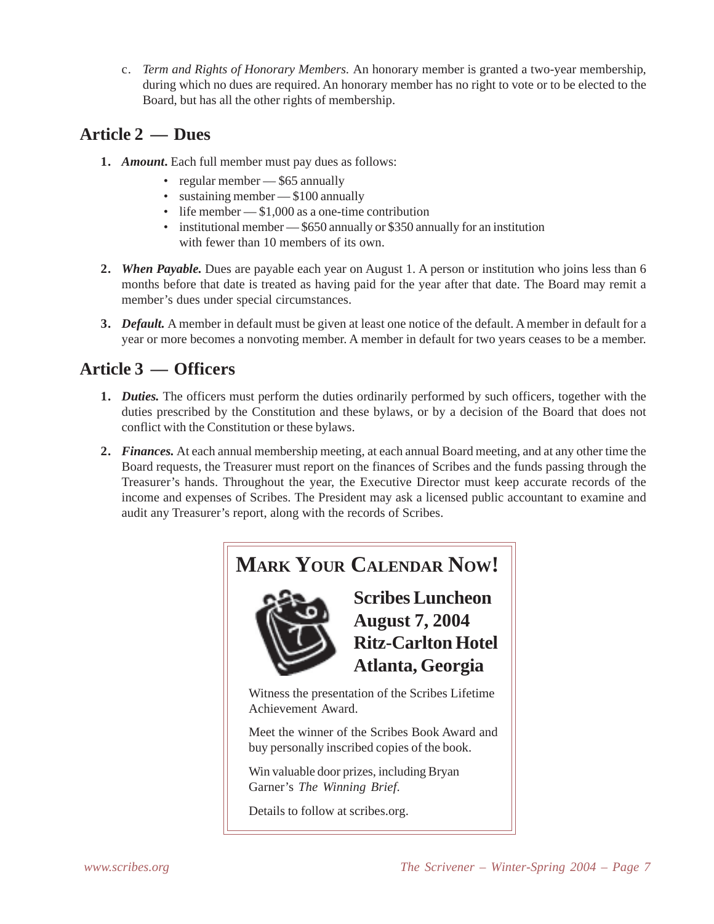c. *Term and Rights of Honorary Members.* An honorary member is granted a two-year membership, during which no dues are required. An honorary member has no right to vote or to be elected to the Board, but has all the other rights of membership.

## **Article 2 — Dues**

- **1.** *Amount***.** Each full member must pay dues as follows:
	- regular member \$65 annually
	- sustaining member \$100 annually
	- life member \$1,000 as a one-time contribution
	- institutional member \$650 annually or \$350 annually for an institution with fewer than 10 members of its own.
- **2.** *When Payable.* Dues are payable each year on August 1. A person or institution who joins less than 6 months before that date is treated as having paid for the year after that date. The Board may remit a member's dues under special circumstances.
- **3.** *Default.* A member in default must be given at least one notice of the default. A member in default for a year or more becomes a nonvoting member. A member in default for two years ceases to be a member.

# **Article 3 — Officers**

- **1.** *Duties.* The officers must perform the duties ordinarily performed by such officers, together with the duties prescribed by the Constitution and these bylaws, or by a decision of the Board that does not conflict with the Constitution or these bylaws.
- **2.** *Finances.* At each annual membership meeting, at each annual Board meeting, and at any other time the Board requests, the Treasurer must report on the finances of Scribes and the funds passing through the Treasurer's hands. Throughout the year, the Executive Director must keep accurate records of the income and expenses of Scribes. The President may ask a licensed public accountant to examine and audit any Treasurer's report, along with the records of Scribes.

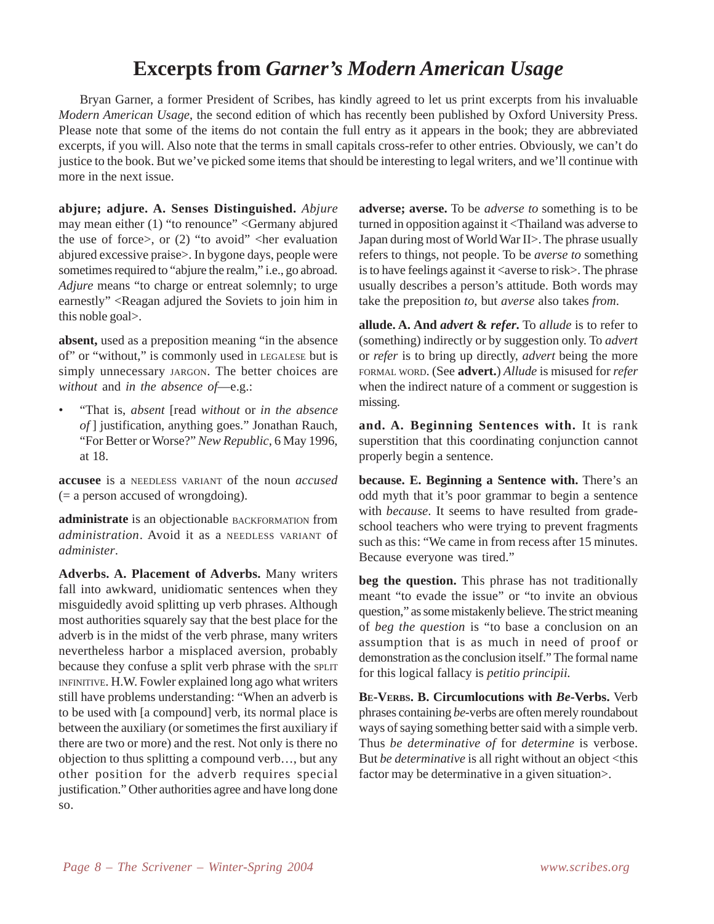# **Excerpts from** *Garner's Modern American Usage*

Bryan Garner, a former President of Scribes, has kindly agreed to let us print excerpts from his invaluable *Modern American Usage*, the second edition of which has recently been published by Oxford University Press. Please note that some of the items do not contain the full entry as it appears in the book; they are abbreviated excerpts, if you will. Also note that the terms in small capitals cross-refer to other entries. Obviously, we can't do justice to the book. But we've picked some items that should be interesting to legal writers, and we'll continue with more in the next issue.

**abjure; adjure. A. Senses Distinguished.** *Abjure* may mean either (1) "to renounce" <Germany abjured the use of force>, or  $(2)$  "to avoid" <her evaluation abjured excessive praise>. In bygone days, people were sometimes required to "abjure the realm," i.e., go abroad. *Adjure* means "to charge or entreat solemnly; to urge earnestly" <Reagan adjured the Soviets to join him in this noble goal>.

**absent,** used as a preposition meaning "in the absence of" or "without," is commonly used in LEGALESE but is simply unnecessary JARGON. The better choices are *without* and *in the absence of*—e.g.:

• "That is, *absent* [read *without* or *in the absence of* ] justification, anything goes." Jonathan Rauch, "For Better or Worse?" *New Republic*, 6 May 1996, at 18.

**accusee** is a NEEDLESS VARIANT of the noun *accused* (= a person accused of wrongdoing).

**administrate** is an objectionable BACKFORMATION from *administration*. Avoid it as a NEEDLESS VARIANT of *administer*.

**Adverbs. A. Placement of Adverbs.** Many writers fall into awkward, unidiomatic sentences when they misguidedly avoid splitting up verb phrases. Although most authorities squarely say that the best place for the adverb is in the midst of the verb phrase, many writers nevertheless harbor a misplaced aversion, probably because they confuse a split verb phrase with the SPLIT INFINITIVE. H.W. Fowler explained long ago what writers still have problems understanding: "When an adverb is to be used with [a compound] verb, its normal place is between the auxiliary (or sometimes the first auxiliary if there are two or more) and the rest. Not only is there no objection to thus splitting a compound verb…, but any other position for the adverb requires special justification." Other authorities agree and have long done so.

**adverse; averse.** To be *adverse to* something is to be turned in opposition against it <Thailand was adverse to Japan during most of World War II>. The phrase usually refers to things, not people. To be *averse to* something is to have feelings against it <averse to risk>. The phrase usually describes a person's attitude. Both words may take the preposition *to*, but *averse* also takes *from*.

**allude. A. And** *advert* **&** *refer***.** To *allude* is to refer to (something) indirectly or by suggestion only. To *advert* or *refer* is to bring up directly, *advert* being the more FORMAL WORD. (See **advert.**) *Allude* is misused for *refer* when the indirect nature of a comment or suggestion is missing.

**and. A. Beginning Sentences with.** It is rank superstition that this coordinating conjunction cannot properly begin a sentence.

**because. E. Beginning a Sentence with.** There's an odd myth that it's poor grammar to begin a sentence with *because*. It seems to have resulted from gradeschool teachers who were trying to prevent fragments such as this: "We came in from recess after 15 minutes. Because everyone was tired."

**beg the question.** This phrase has not traditionally meant "to evade the issue" or "to invite an obvious question," as some mistakenly believe. The strict meaning of *beg the question* is "to base a conclusion on an assumption that is as much in need of proof or demonstration as the conclusion itself." The formal name for this logical fallacy is *petitio principii*.

**BE-VERBS. B. Circumlocutions with** *Be***-Verbs.** Verb phrases containing *be*-verbs are often merely roundabout ways of saying something better said with a simple verb. Thus *be determinative of* for *determine* is verbose. But *be determinative* is all right without an object <this factor may be determinative in a given situation >.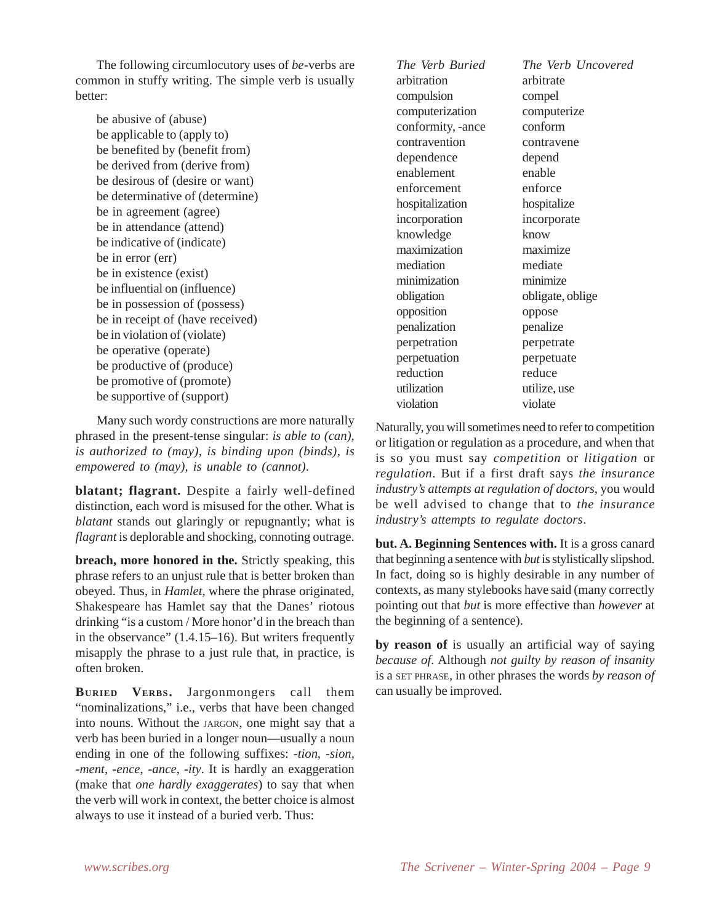The following circumlocutory uses of *be*-verbs are common in stuffy writing. The simple verb is usually better:

be abusive of (abuse) be applicable to (apply to) be benefited by (benefit from) be derived from (derive from) be desirous of (desire or want) be determinative of (determine) be in agreement (agree) be in attendance (attend) be indicative of (indicate) be in error (err) be in existence (exist) be influential on (influence) be in possession of (possess) be in receipt of (have received) be in violation of (violate) be operative (operate) be productive of (produce) be promotive of (promote) be supportive of (support)

Many such wordy constructions are more naturally phrased in the present-tense singular: *is able to (can), is authorized to (may), is binding upon (binds), is empowered to (may), is unable to (cannot)*.

**blatant; flagrant.** Despite a fairly well-defined distinction, each word is misused for the other. What is *blatant* stands out glaringly or repugnantly; what is *flagrant* is deplorable and shocking, connoting outrage.

**breach, more honored in the.** Strictly speaking, this phrase refers to an unjust rule that is better broken than obeyed. Thus, in *Hamlet*, where the phrase originated, Shakespeare has Hamlet say that the Danes' riotous drinking "is a custom / More honor'd in the breach than in the observance" (1.4.15–16). But writers frequently misapply the phrase to a just rule that, in practice, is often broken.

**BURIED VERBS.** Jargonmongers call them "nominalizations," i.e., verbs that have been changed into nouns. Without the JARGON, one might say that a verb has been buried in a longer noun—usually a noun ending in one of the following suffixes: *-tion*, *-sion*, *-ment*, *-ence*, *-ance*, *-ity*. It is hardly an exaggeration (make that *one hardly exaggerates*) to say that when the verb will work in context, the better choice is almost always to use it instead of a buried verb. Thus:

arbitration arbitrate compulsion compel computerization computerize conformity, -ance conform contravention contravene dependence depend enablement enable enforcement enforce hospitalization hospitalize incorporation incorporate knowledge know maximization maximize mediation mediate minimization minimize obligation obligate, oblige opposition oppose penalization penalize perpetration perpetrate perpetuation perpetuate reduction reduce utilization utilize, use violation violate

*The Verb Buried The Verb Uncovered*

Naturally, you will sometimes need to refer to competition or litigation or regulation as a procedure, and when that is so you must say *competition* or *litigation* or *regulation*. But if a first draft says *the insurance industry's attempts at regulation of doctors*, you would be well advised to change that to *the insurance industry's attempts to regulate doctors*.

**but. A. Beginning Sentences with.** It is a gross canard that beginning a sentence with *but* is stylistically slipshod. In fact, doing so is highly desirable in any number of contexts, as many stylebooks have said (many correctly pointing out that *but* is more effective than *however* at the beginning of a sentence).

**by reason of** is usually an artificial way of saying *because of*. Although *not guilty by reason of insanity* is a SET PHRASE, in other phrases the words *by reason of* can usually be improved.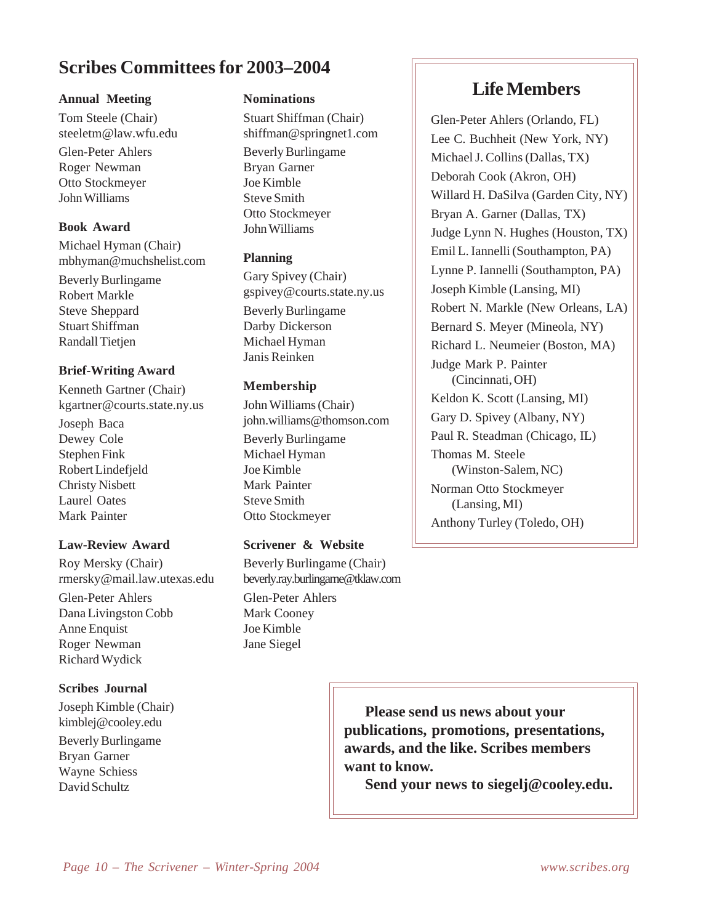# **Scribes Committees for 2003–2004**

#### **Annual Meeting**

Tom Steele (Chair) steeletm@law.wfu.edu

Glen-Peter Ahlers Roger Newman Otto Stockmeyer John Williams

#### **Book Award**

Michael Hyman (Chair) mbhyman@muchshelist.com

Beverly Burlingame Robert Markle Steve Sheppard Stuart Shiffman Randall Tietjen

#### **Brief-Writing Award**

Kenneth Gartner (Chair) kgartner@courts.state.ny.us Joseph Baca Dewey Cole Stephen Fink Robert Lindefjeld Christy Nisbett Laurel Oates Mark Painter

#### **Law-Review Award**

Roy Mersky (Chair) rmersky@mail.law.utexas.edu Glen-Peter Ahlers Dana Livingston Cobb Anne Enquist Roger Newman Richard Wydick

#### **Scribes Journal**

Joseph Kimble (Chair) kimblej@cooley.edu Beverly Burlingame Bryan Garner Wayne Schiess David Schultz

#### **Nominations**

Stuart Shiffman (Chair) shiffman@springnet1.com

Beverly Burlingame Bryan Garner Joe Kimble Steve Smith Otto Stockmeyer John Williams

#### **Planning**

Gary Spivey (Chair) gspivey@courts.state.ny.us Beverly Burlingame Darby Dickerson Michael Hyman Janis Reinken

#### **Membership**

John Williams (Chair) john.williams@thomson.com

Beverly Burlingame Michael Hyman Joe Kimble Mark Painter Steve Smith Otto Stockmeyer

#### **Scrivener & Website**

Beverly Burlingame (Chair) beverly.ray.burlingame@tklaw.com Glen-Peter Ahlers Mark Cooney Joe Kimble Jane Siegel

# **Life Members**

Glen-Peter Ahlers (Orlando, FL) Lee C. Buchheit (New York, NY) Michael J. Collins (Dallas, TX) Deborah Cook (Akron, OH) Willard H. DaSilva (Garden City, NY) Bryan A. Garner (Dallas, TX) Judge Lynn N. Hughes (Houston, TX) Emil L. Iannelli (Southampton, PA) Lynne P. Iannelli (Southampton, PA) Joseph Kimble (Lansing, MI) Robert N. Markle (New Orleans, LA) Bernard S. Meyer (Mineola, NY) Richard L. Neumeier (Boston, MA) Judge Mark P. Painter (Cincinnati, OH) Keldon K. Scott (Lansing, MI) Gary D. Spivey (Albany, NY) Paul R. Steadman (Chicago, IL) Thomas M. Steele (Winston-Salem, NC) Norman Otto Stockmeyer (Lansing, MI) Anthony Turley (Toledo, OH)

**Please send us news about your publications, promotions, presentations, awards, and the like. Scribes members want to know.**

**Send your news to siegelj@cooley.edu.**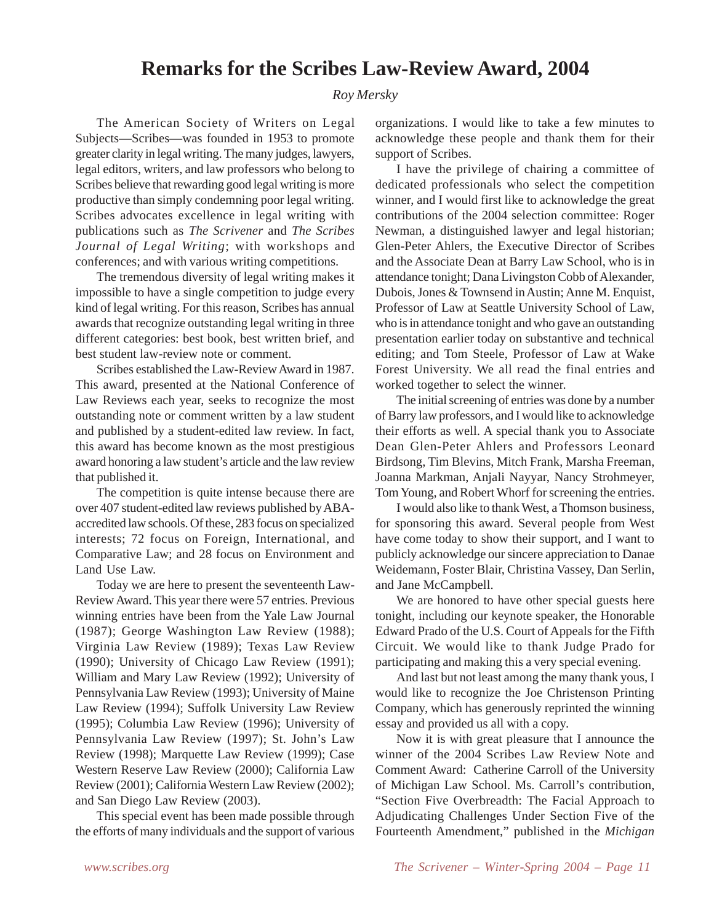# **Remarks for the Scribes Law-Review Award, 2004**

#### *Roy Mersky*

The American Society of Writers on Legal Subjects—Scribes—was founded in 1953 to promote greater clarity in legal writing. The many judges, lawyers, legal editors, writers, and law professors who belong to Scribes believe that rewarding good legal writing is more productive than simply condemning poor legal writing. Scribes advocates excellence in legal writing with publications such as *The Scrivener* and *The Scribes Journal of Legal Writing*; with workshops and conferences; and with various writing competitions.

The tremendous diversity of legal writing makes it impossible to have a single competition to judge every kind of legal writing. For this reason, Scribes has annual awards that recognize outstanding legal writing in three different categories: best book, best written brief, and best student law-review note or comment.

Scribes established the Law-Review Award in 1987. This award, presented at the National Conference of Law Reviews each year, seeks to recognize the most outstanding note or comment written by a law student and published by a student-edited law review. In fact, this award has become known as the most prestigious award honoring a law student's article and the law review that published it.

The competition is quite intense because there are over 407 student-edited law reviews published by ABAaccredited law schools. Of these, 283 focus on specialized interests; 72 focus on Foreign, International, and Comparative Law; and 28 focus on Environment and Land Use Law.

Today we are here to present the seventeenth Law-Review Award. This year there were 57 entries. Previous winning entries have been from the Yale Law Journal (1987); George Washington Law Review (1988); Virginia Law Review (1989); Texas Law Review (1990); University of Chicago Law Review (1991); William and Mary Law Review (1992); University of Pennsylvania Law Review (1993); University of Maine Law Review (1994); Suffolk University Law Review (1995); Columbia Law Review (1996); University of Pennsylvania Law Review (1997); St. John's Law Review (1998); Marquette Law Review (1999); Case Western Reserve Law Review (2000); California Law Review (2001); California Western Law Review (2002); and San Diego Law Review (2003).

This special event has been made possible through the efforts of many individuals and the support of various

organizations. I would like to take a few minutes to acknowledge these people and thank them for their support of Scribes.

I have the privilege of chairing a committee of dedicated professionals who select the competition winner, and I would first like to acknowledge the great contributions of the 2004 selection committee: Roger Newman, a distinguished lawyer and legal historian; Glen-Peter Ahlers, the Executive Director of Scribes and the Associate Dean at Barry Law School, who is in attendance tonight; Dana Livingston Cobb of Alexander, Dubois, Jones & Townsend in Austin; Anne M. Enquist, Professor of Law at Seattle University School of Law, who is in attendance tonight and who gave an outstanding presentation earlier today on substantive and technical editing; and Tom Steele, Professor of Law at Wake Forest University. We all read the final entries and worked together to select the winner.

The initial screening of entries was done by a number of Barry law professors, and I would like to acknowledge their efforts as well. A special thank you to Associate Dean Glen-Peter Ahlers and Professors Leonard Birdsong, Tim Blevins, Mitch Frank, Marsha Freeman, Joanna Markman, Anjali Nayyar, Nancy Strohmeyer, Tom Young, and Robert Whorf for screening the entries.

I would also like to thank West, a Thomson business, for sponsoring this award. Several people from West have come today to show their support, and I want to publicly acknowledge our sincere appreciation to Danae Weidemann, Foster Blair, Christina Vassey, Dan Serlin, and Jane McCampbell.

We are honored to have other special guests here tonight, including our keynote speaker, the Honorable Edward Prado of the U.S. Court of Appeals for the Fifth Circuit. We would like to thank Judge Prado for participating and making this a very special evening.

And last but not least among the many thank yous, I would like to recognize the Joe Christenson Printing Company, which has generously reprinted the winning essay and provided us all with a copy.

Now it is with great pleasure that I announce the winner of the 2004 Scribes Law Review Note and Comment Award: Catherine Carroll of the University of Michigan Law School. Ms. Carroll's contribution, "Section Five Overbreadth: The Facial Approach to Adjudicating Challenges Under Section Five of the Fourteenth Amendment," published in the *Michigan*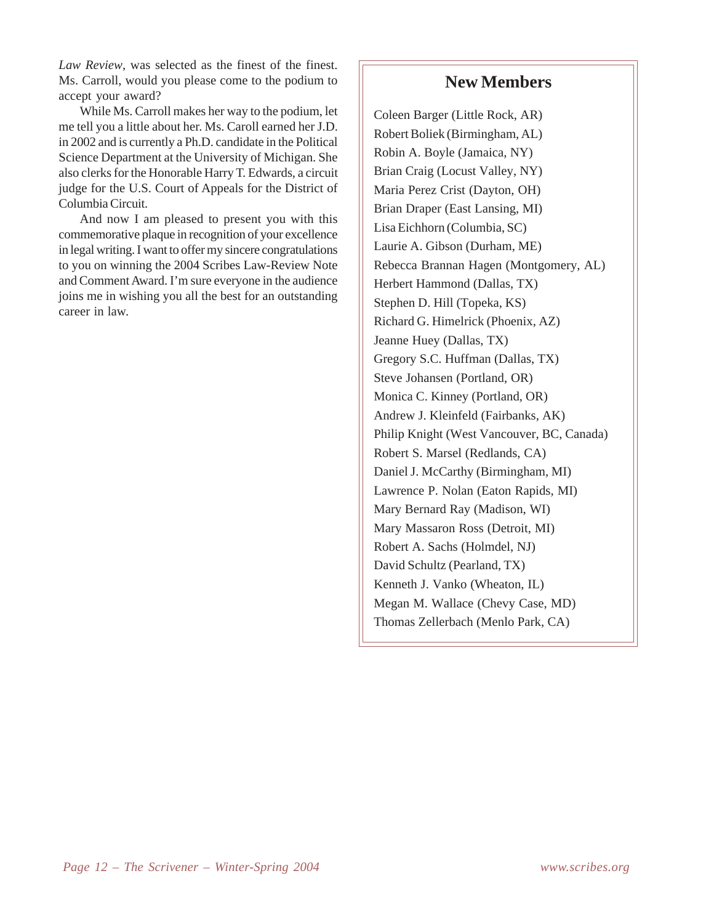*Law Review*, was selected as the finest of the finest. Ms. Carroll, would you please come to the podium to accept your award?

While Ms. Carroll makes her way to the podium, let me tell you a little about her. Ms. Caroll earned her J.D. in 2002 and is currently a Ph.D. candidate in the Political Science Department at the University of Michigan. She also clerks for the Honorable Harry T. Edwards, a circuit judge for the U.S. Court of Appeals for the District of Columbia Circuit.

And now I am pleased to present you with this commemorative plaque in recognition of your excellence in legal writing. I want to offer my sincere congratulations to you on winning the 2004 Scribes Law-Review Note and Comment Award. I'm sure everyone in the audience joins me in wishing you all the best for an outstanding career in law.

### **New Members**

Coleen Barger (Little Rock, AR) Robert Boliek (Birmingham, AL) Robin A. Boyle (Jamaica, NY) Brian Craig (Locust Valley, NY) Maria Perez Crist (Dayton, OH) Brian Draper (East Lansing, MI) Lisa Eichhorn (Columbia, SC) Laurie A. Gibson (Durham, ME) Rebecca Brannan Hagen (Montgomery, AL) Herbert Hammond (Dallas, TX) Stephen D. Hill (Topeka, KS) Richard G. Himelrick (Phoenix, AZ) Jeanne Huey (Dallas, TX) Gregory S.C. Huffman (Dallas, TX) Steve Johansen (Portland, OR) Monica C. Kinney (Portland, OR) Andrew J. Kleinfeld (Fairbanks, AK) Philip Knight (West Vancouver, BC, Canada) Robert S. Marsel (Redlands, CA) Daniel J. McCarthy (Birmingham, MI) Lawrence P. Nolan (Eaton Rapids, MI) Mary Bernard Ray (Madison, WI) Mary Massaron Ross (Detroit, MI) Robert A. Sachs (Holmdel, NJ) David Schultz (Pearland, TX) Kenneth J. Vanko (Wheaton, IL) Megan M. Wallace (Chevy Case, MD) Thomas Zellerbach (Menlo Park, CA)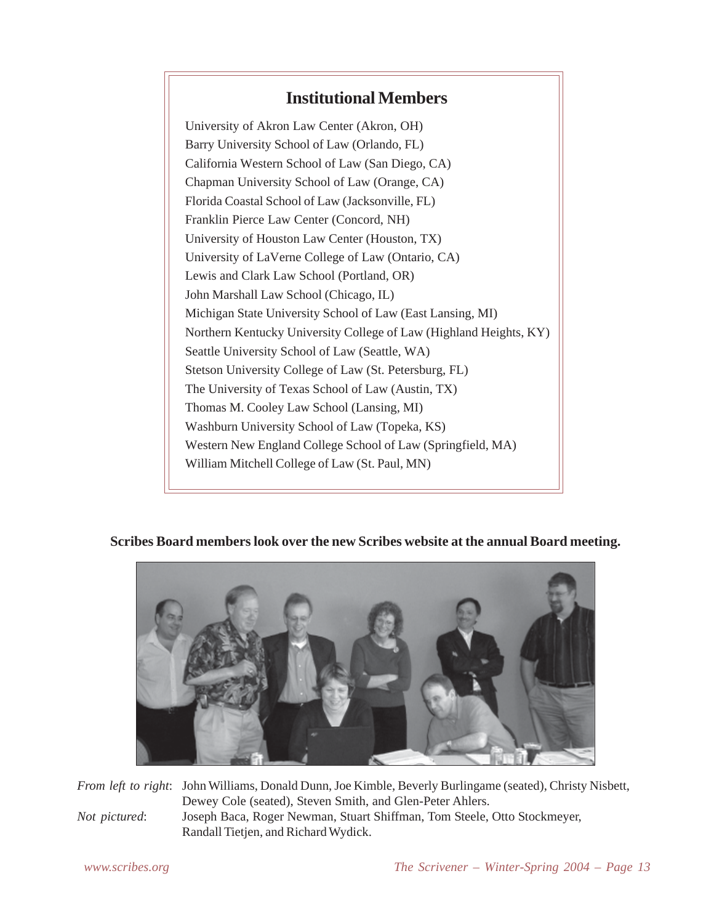### **Institutional Members**

University of Akron Law Center (Akron, OH) Barry University School of Law (Orlando, FL) California Western School of Law (San Diego, CA) Chapman University School of Law (Orange, CA) Florida Coastal School of Law (Jacksonville, FL) Franklin Pierce Law Center (Concord, NH) University of Houston Law Center (Houston, TX) University of LaVerne College of Law (Ontario, CA) Lewis and Clark Law School (Portland, OR) John Marshall Law School (Chicago, IL) Michigan State University School of Law (East Lansing, MI) Northern Kentucky University College of Law (Highland Heights, KY) Seattle University School of Law (Seattle, WA) Stetson University College of Law (St. Petersburg, FL) The University of Texas School of Law (Austin, TX) Thomas M. Cooley Law School (Lansing, MI) Washburn University School of Law (Topeka, KS) Western New England College School of Law (Springfield, MA) William Mitchell College of Law (St. Paul, MN)

### **Scribes Board members look over the new Scribes website at the annual Board meeting.**



*From left to right*: John Williams, Donald Dunn, Joe Kimble, Beverly Burlingame (seated), Christy Nisbett, Dewey Cole (seated), Steven Smith, and Glen-Peter Ahlers. *Not pictured*: Joseph Baca, Roger Newman, Stuart Shiffman, Tom Steele, Otto Stockmeyer, Randall Tietjen, and Richard Wydick.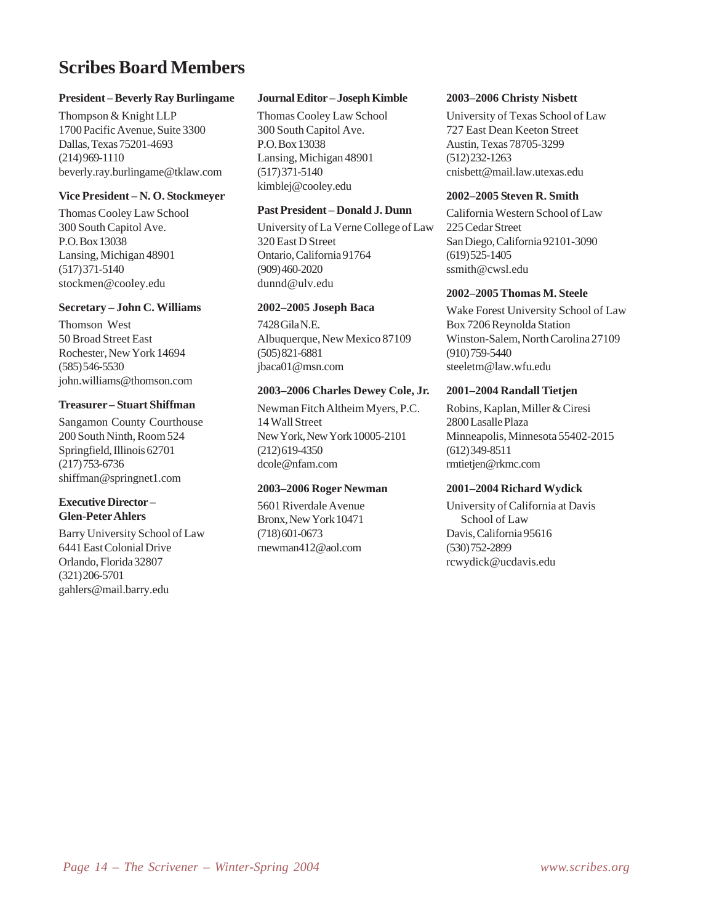# **Scribes Board Members**

#### **President – Beverly Ray Burlingame**

Thompson & Knight LLP 1700 Pacific Avenue, Suite 3300 Dallas, Texas 75201-4693 (214) 969-1110 beverly.ray.burlingame@tklaw.com

#### **Vice President – N. O. Stockmeyer**

Thomas Cooley Law School 300 South Capitol Ave. P.O. Box 13038 Lansing, Michigan 48901 (517) 371-5140 stockmen@cooley.edu

#### **Secretary – John C. Williams**

Thomson West 50 Broad Street East Rochester, New York 14694 (585) 546-5530 john.williams@thomson.com

#### **Treasurer – Stuart Shiffman**

Sangamon County Courthouse 200 South Ninth, Room 524 Springfield, Illinois 62701 (217) 753-6736 shiffman@springnet1.com

#### **Executive Director – Glen-Peter Ahlers**

Barry University School of Law 6441 East Colonial Drive Orlando, Florida 32807 (321) 206-5701 gahlers@mail.barry.edu

#### **Journal Editor – Joseph Kimble**

Thomas Cooley Law School 300 South Capitol Ave. P.O. Box 13038 Lansing, Michigan 48901 (517) 371-5140 kimblej@cooley.edu

#### **Past President – Donald J. Dunn**

University of La Verne College of Law 320 East D Street Ontario, California 91764 (909) 460-2020 dunnd@ulv.edu

#### **2002–2005 Joseph Baca**

7428 Gila N.E. Albuquerque, New Mexico 87109 (505) 821-6881 jbaca01@msn.com

#### **2003–2006 Charles Dewey Cole, Jr.**

Newman Fitch Altheim Myers, P.C. 14 Wall Street New York, New York 10005-2101 (212) 619-4350 dcole@nfam.com

#### **2003–2006 Roger Newman**

5601 Riverdale Avenue Bronx, New York 10471 (718) 601-0673 rnewman412@aol.com

#### **2003–2006 Christy Nisbett**

University of Texas School of Law 727 East Dean Keeton Street Austin, Texas 78705-3299 (512) 232-1263 cnisbett@mail.law.utexas.edu

#### **2002–2005 Steven R. Smith**

California Western School of Law 225 Cedar Street San Diego, California 92101-3090 (619) 525-1405 ssmith@cwsl.edu

#### **2002–2005 Thomas M. Steele**

Wake Forest University School of Law Box 7206 Reynolda Station Winston-Salem, North Carolina 27109 (910) 759-5440 steeletm@law.wfu.edu

#### **2001–2004 Randall Tietjen**

Robins, Kaplan, Miller & Ciresi 2800 Lasalle Plaza Minneapolis, Minnesota 55402-2015 (612) 349-8511 rmtietjen@rkmc.com

#### **2001–2004 Richard Wydick**

University of California at Davis School of Law Davis, California 95616 (530) 752-2899 rcwydick@ucdavis.edu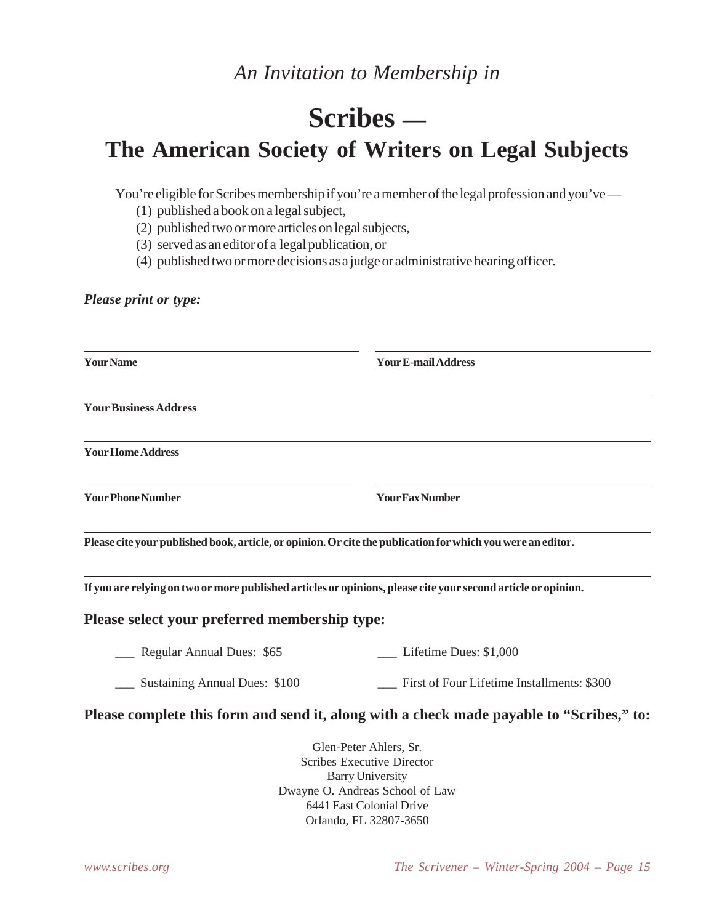# **Scribes — The American Society of Writers on Legal Subjects**

You're eligible for Scribes membership if you're a member of the legal profession and you've —

- (1) published a book on a legal subject,
- (2) published two or more articles on legal subjects,
- (3) served as an editor of a legal publication, or
- (4) published two or more decisions as a judge or administrative hearing officer.

*Please print or type:*

| <b>Your Name</b>                                                                                              | <b>Your E-mail Address</b>                                                                                                                                                      |
|---------------------------------------------------------------------------------------------------------------|---------------------------------------------------------------------------------------------------------------------------------------------------------------------------------|
| <b>Your Business Address</b>                                                                                  |                                                                                                                                                                                 |
| <b>Your Home Address</b>                                                                                      |                                                                                                                                                                                 |
| <b>Your Phone Number</b>                                                                                      | <b>Your Fax Number</b>                                                                                                                                                          |
| Please cite your published book, article, or opinion. Or cite the publication for which you were an editor.   |                                                                                                                                                                                 |
| If you are relying on two or more published articles or opinions, please cite your second article or opinion. |                                                                                                                                                                                 |
| Please select your preferred membership type:                                                                 |                                                                                                                                                                                 |
| Regular Annual Dues: \$65                                                                                     | Lifetime Dues: \$1,000                                                                                                                                                          |
| __ Sustaining Annual Dues: \$100                                                                              | __ First of Four Lifetime Installments: \$300                                                                                                                                   |
|                                                                                                               | Please complete this form and send it, along with a check made payable to "Scribes," to:                                                                                        |
|                                                                                                               | Glen-Peter Ahlers, Sr.<br><b>Scribes Executive Director</b><br><b>Barry University</b><br>Dwayne O. Andreas School of Law<br>6441 East Colonial Drive<br>Orlando, FL 32807-3650 |